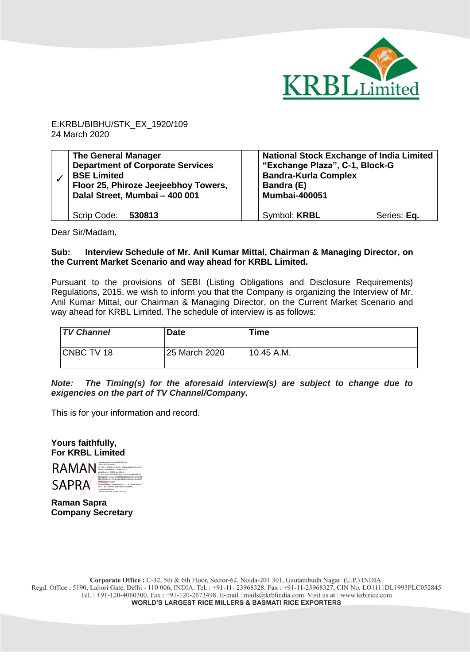

E:KRBL/BIBHU/STK\_EX\_1920/109 24 March 2020

| <b>The General Manager</b><br><b>Department of Corporate Services</b><br><b>BSE Limited</b><br>Floor 25, Phiroze Jeejeebhoy Towers,<br>Dalal Street, Mumbai - 400 001 | <b>National Stock Exchange of India Limited</b><br>"Exchange Plaza", C-1, Block-G<br><b>Bandra-Kurla Complex</b><br>Bandra (E)<br><b>Mumbai-400051</b> |  |
|-----------------------------------------------------------------------------------------------------------------------------------------------------------------------|--------------------------------------------------------------------------------------------------------------------------------------------------------|--|
| Scrip Code: 530813                                                                                                                                                    | Symbol: KRBL<br>Series: Eq.                                                                                                                            |  |

Dear Sir/Madam,

## **Sub: Interview Schedule of Mr. Anil Kumar Mittal, Chairman & Managing Director, on the Current Market Scenario and way ahead for KRBL Limited.**

Pursuant to the provisions of SEBI (Listing Obligations and Disclosure Requirements) Regulations, 2015, we wish to inform you that the Company is organizing the Interview of Mr. Anil Kumar Mittal, our Chairman & Managing Director, on the Current Market Scenario and way ahead for KRBL Limited. The schedule of interview is as follows:

| <b>TV Channel</b> | <b>Date</b>   | Time         |
|-------------------|---------------|--------------|
| CNBC TV 18        | 25 March 2020 | $10.45$ A.M. |

*Note: The Timing(s) for the aforesaid interview(s) are subject to change due to exigencies on the part of TV Channel/Company.* 

This is for your information and record.

**Yours faithfully, For KRBL Limited** 



**Raman Sapra Company Secretary**